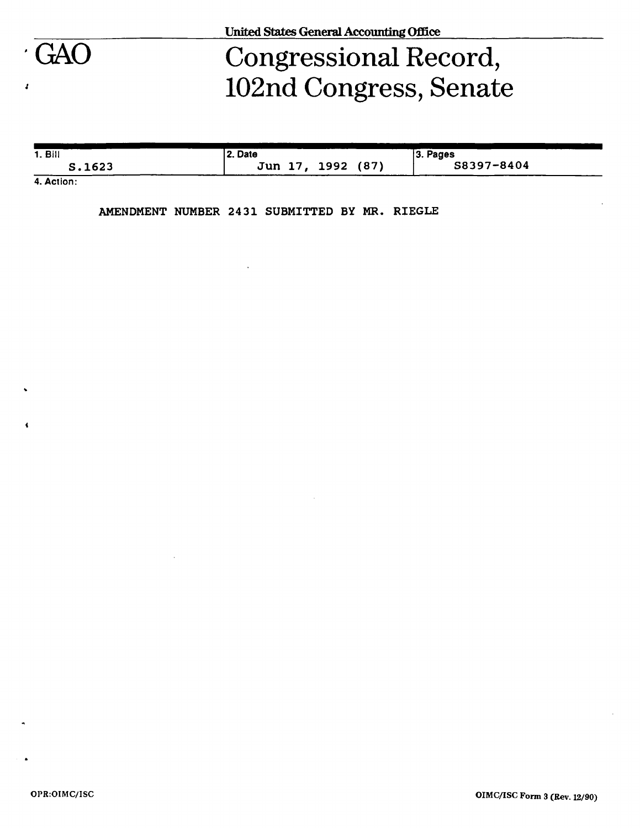

# GAO Congressional Record, 102nd Congress, Senate

| 1. Bill                                    | l 2. Date         | $ 3.$ Pages |
|--------------------------------------------|-------------------|-------------|
| S.1623                                     | Jun 17, 1992 (87) | S8397-8404  |
| $\mathbf{A}$ $\mathbf{A}$ and $\mathbf{A}$ |                   |             |

**4. Action:** 

**AMENDMENT NUMBER 24 31 SUBMITTED BY MR. RIEGLE**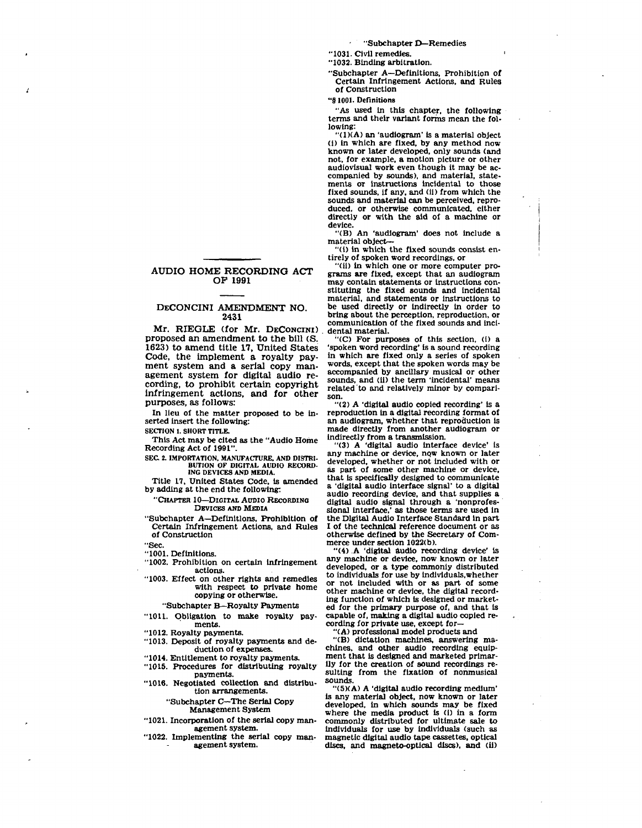**"Subchapter D—Remedies** 

**"1031. Civil remedies.** 

**"1032. Binding arbitration.** 

**"Subchapter A—Definitions, Prohibition of Certain Infringement Actions, and Rules of Construction** 

**"§1001. Definitions** 

**"As used in this chapter, the following terms and their variant forms mean the following:** 

**"(1XA) an 'audiogram' is a material object (i) in which are fixed, by any method now known or later developed, only sounds (and not, for example, a motion picture or other audiovisual work even though it may be accompanied by sounds), and material, statements or Instructions Incidental to those fixed sounds, if any, and (11) from which the sounds and material can be perceived, reproduced, or otherwise communicated, either directly or with the aid of a machine or device.** 

**"(B) An 'audiogram' does not include a material object—** 

**"(1) in which the fixed sounds consist entirely of spoken word recordings, or** 

**"(ii) in which one or more computer programs are fixed, except that an audiogram may contain statements or instructions constituting the fixed sounds and Incidental material, and statements or instructions to be used directly or Indirectly in order to bring about the perception, reproduction, or communication of the fixed sounds and incidental material.** 

**"(C) For purposes of this section, (i) a 'spoken word recording' is a sound recording in which are fixed only a series of spoken words, except that the spoken words may be accompanied by ancillary musical or other sounds, and (11) the term 'incidental' means related to and relatively minor by comparison.** 

**"(2) A 'digital audio copied recording' is a reproduction in a digital recording format of an audiogram, whether that reproduction Is made directly from another audiogram or Indirectly from a transmission.** 

**"(3) A 'digital audio Interface device' is any machine or device, now known or later developed, whether or not Included with or as part of some other machine or device, that is specifically designed to communicate a 'digital audio Interface signal' to a digital audio recording device, and that supplies a digital audio signal through a 'nonprofessional Interface,' as those terms are used in the Digital Audio Interface Standard in part I of the technical reference document or as otherwise defined by the Secretary of Commerce under section 1022(b).** 

**"(4) A 'digital audio recording device' is any machine or device, now known or later**  developed, or a type commonly distributed **to individuals for use by individuals,whether or not included with or as part of some other machine or device, the digital recording function of which is designed or marketed for the primary purpose of, and that Is capable of, making a digital audio copied recording for private use, except for—** 

**"(A) professional model products and** 

**"(B) dictation machines, answering machines, and other audio recording equipment that Is designed and marketed primarily for the creation of sound recordings re-sulting from the fixation of nonmusical sounds.** 

**"(5)(A) A 'digital audio recording medium' is any material object, now known or later developed, in which sounds may be fixed where the media product is (i) in a form commonly distributed for ultimate sale to individuals for use by individuals (such as magnetic digital audio tape cassettes, optical discs, and magneto-optical discs), and (ii)** 

# **AUDIO HOME RECORDING ACT OP 1991**

# **DECONCIN I AMENDMENT NO. 2431**

**Mr. RIEGLE (for Mr. DECONCINI) proposed an amendment to the bill (S. 1623) to amend title 17, United States Code, the implement a royalty payment system and a serial copy management system for digital audio recording, to prohibit certain copyright infringement actions, and for other purposes, as follows:** 

**In lieu of the matter proposed to be inserted insert the following:** 

**SECTION 1. SHORT TITLE.** 

**This Act may be cited as the "Audio Home Recording Act of 1991".** 

- SEC. 2. IMPORTATION, MANUFACTURE, AND DISTRI-**BUTION OF DIGITAL AUDIO RECORD-ING DEVICES AND MEDIA.**
- **Title 17, United States Code, Is amended by adding at the end the following:** 
	- **"CHAPTER 10—DIGITAL AUDIO RECORDING DEVICES AND MEDIA**
- **"Subchapter A—Definitions, Prohibition of Certain Infringement Actions, and Rules of Construction**
- **"Sec.**

**"1001. Definitions.** 

**"1002. Prohibition on certain Infringement actions.** 

**"1003. Effect on other rights and remedies with respect to private home copying or otherwise.** 

**"Subchapter B—Royalty Payments** 

**"1011. Obligation to make royalty payments.** 

**"1012. Royalty payments.** 

**"1013. Deposit of royalty payments and deduction of expenses.** 

- **"1014. Entitlement to royalty payments.**
- **"1015. Procedures for distributing royalty payments.**
- **"1016. Negotiated collection and distribution arrangements.**

**"Subchapter C—The Serial Copy Management System** 

- **"1021. Incorporation of the serial copy management system.**
- **"1022. Implementing the serial copy management system.**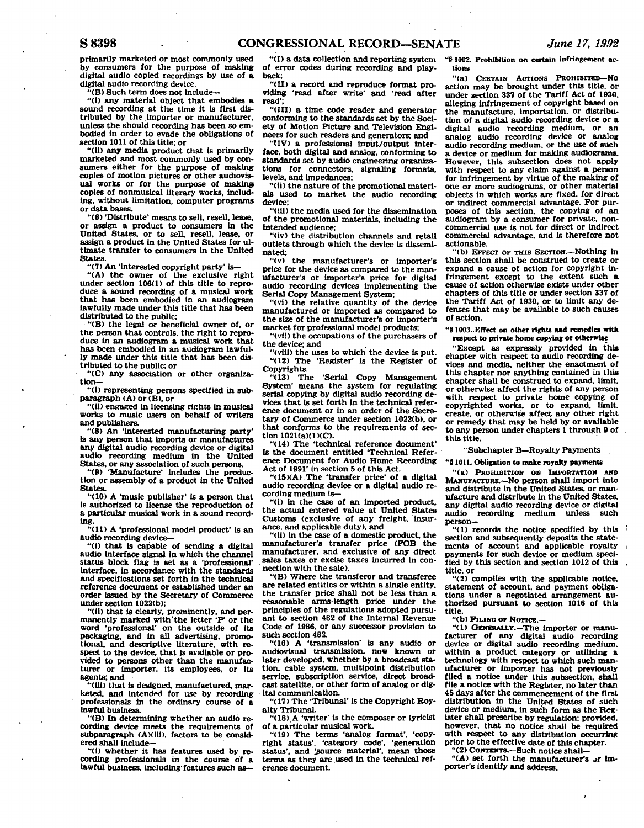**primarily marketed or most commonly used by consumers for the purpose of making digital audio copied recordings by use of a digital audio recording device.** 

**"(B) Such term does not Include—** 

**"(1) any material object that embodies a sound recording at the time it is first distributed by the Importer or manufacturer, unless the should recording has been so embodied in order to evade the obligations of section 1011 of this title: or** 

**"(11) any media product that is primarily marketed and most commonly used by consumers either for the purpose of making copies of motion pictures or other audiovisual works or for the purpose of makin» copies of nonmusical literary works, Including, without limitation, computer programs or data bases.** 

**"(6) 'Distribute' means to sell, resell, lease, or assign a product to consumers in the United States, or to sell, resell, lease, or assign a product in the United States for ultimate transfer to consumers in the United States.** 

**"(7) An 'Interested copyright party' is—** 

**"(A) the owner of the exclusive right under section 106(1) of this title to reproduce a sound recording of a musical work that has been embodied in an audiogram lawfully made under this title that has been distributed to the public;** 

**"(B) the legal or beneficial owner of. or the person that controls, the right to reproduce in an audiogram a musical work that has been embodied in an audiogram lawfully made under this title that has been distributed to the public; or** 

**"(C) any association or other organization—** 

**"(i) representing persons specified in sub**paragraph (A) or (B), or

**"(ii) engaged In licensing rights in musical works to music users on behalf of writers and publishers.** 

**"(8) An 'interested manufacturing party' Is any person that imports or manufactures any digital audio recording device or digital audio recording medium in the United States, or any association of such persons.** 

**"(9) 'Manufacture' Includes the production or assembly of a product in the United States.** 

**"(10) A 'music publisher' is a person that is authorized to license the reproduction of a particular musical work in a sound recording.** 

**"(11) A 'professional model product' is an audio recording device—** 

**"(i) that is capable of sending a digital audio Interface signal in which the channel status block flag is set as a 'professional' interface, in accordance with the standards and specifications set forth in the technical reference document or established under an order Issued by the Secretary of Commerce under section 1022(b);** 

**"(H) that is clearly, prominently, and per-manently marked with'the letter 'P\* or the word 'professional' on the outside of its packaging, and in all advertising, promo-tional, and descriptive literature, with respect to the device, that is available or provided to persons other than the manufacturer or Importer, its employees, or Its agents: and** 

**"(ill) that is designed, manufactured, marketed, and Intended for use by recording professionals in the ordinary course of a lawful business.** 

**"(B) In determining whether an audio recording device meets the requirements of subparagraph (AMHi), factors to be considered shall include—** 

**"(I) whether it has features used by recording professionals in the course of a lawful business, including'features such as—** 

**"(I) a data collection and reporting system of error codes during recording and playback:** 

**"(II) a record and reproduce format providing 'read after write' and 'read after read';** 

**"(III) a time code reader and generator conforming to the standards set by the Society of Motion Picture and Television Engineers for such readers and generators; and** 

"(IV) a professional input/output inter**face, both digital and analog, conforming to standards set by audio engineering organizations for connectors, signaling formats, levels, and Impedances;** 

"(ii) the nature of the promotional materi**als used to market the audio recording device:** 

**"(ill) the media used for the dissemination of the promotional materials, including the intended audience;** 

**"(iv) the distribution channels and retail outlets through which the device is disseminated:** 

**"(v) the manufacturer's or Importer's price for the device as compared to the manufacturer's or Importer's price for digital audio recording devices Implementing the Serial Copy Management System;** 

**"(vl) the relative quantity of the device manufactured or imported as compared to the size of the manufacturer's or Importer's market for professional model products;** 

**"(vii) the occupations of the purchasers of the device; and** 

**"(vlli) the uses to which the device is put. "(12) The 'Register' is the Register of Copyrights.** 

**"(13) The 'Serial Copy Management System' means the system for regulating serial copying by digital audio recording devices that is set forth in the technical reference document or in an order of the Secretary of Commerce under section 1022(b), or that conforms to the requirements of section 1021(a)(1)(C).** 

**"(14) The 'technical reference document' Is the document entitled 'Technical Reference Document for Audio Home Recording Act of 1991' in section 5 of this Act.** 

**"(15XA) The 'transfer price' of a digital audio recording device or a digital audio recording medium is—** 

**"(1) in the case of an imported product, the actual entered value at United States Customs (exclusive of any freight, insurance, and applicable duty), and** 

**"(11) In the case of a domestic product, the manufacturer's transfer price (FOB the manufacturer, and exclusive of any direct sales taxes or excise taxes Incurred in connection with the sale).** 

**"(B) Where the transferor and transferee are related entities or within a single entity, the transfer price shall not be less than a reasonable arms-length price under the principles of the regulations adopted pursuant to section 482 of the Internal Revenue Code of 1986. or any successor provision to such section 482.** 

**"(18) A 'transmission' is any audio or audiovisual transmission, now known or later developed, whether by a broadcast station, cable system, multipoint distribution service, subscription service, direct broadcast satellite, or other form of analog or digital communication.** 

**"(17) The 'Tribunal' is the Copyright Royalty Tribunal.** 

**"(18) A 'writer' is the composer or lyricist of a particular musical work.** 

"(19) The terms 'analog format', 'copy**right status', 'category code', 'generation**  status', and 'source material', mean those **terms as they are used in the technical reference document.** 

**"8 1002. Prohibition on certain Infringement actions** 

**"(a) CERTAIN ACTIONS PROHIBITED—KO action may be brought under this title, or under section 337 of the Tariff Act of 1930, alleging Infringement of copyright based on the manufacture, importation, or distribution of a digital audio recording device or a digital audio recording medium, or an analog audio recording device or analog audio recording medium, or the use of such a device or medium for making audiograms. However, this subsection does not apply with respect to any claim against a person for Infringement by virtue of the making of one or more audiograms, or other material objects In which works are fixed, for direct or indirect commercial advantage. For purposes of this section, the copying of an audiogram by a consumer for private, noncommercial use is not for direct or Indirect commercial advantage, and is therefore not actionable.** 

**"(b)** *EFFECT* **OF THIS SECTION.—Nothing In this section shall be construed to create or expand a cause of action for copyright infringement except to the extent such a cause of action otherwise exists under other chapters of this title or under section 337 of the Tariff Act of 1930, or to limit any defenses that may be available to such causes of action.** 

# **"8 1003. Effect on other rights and remedies with respect to private home copying or otherwise**

**"Except as expressly provided in this chapter with respect to audio recording devices and media, neither the enactment of this chapter nor anything contained In this chapter shall be construed to expand, limit, or otherwise affect the rights of any person with respect to private home copying of copyrighted works, or to expand, limit, create, or otherwise affect any other right or remedy that may be held by or available to any person under chapters 1 through B of this title.** 

## **"Subchapter B—Royalty Payments .**

**"81011. Obligation to make royalty payments** 

**"(a) PROHIBITION OK IMPORTATION AND MANUFACTURE.—NO person shall Import Into and distribute in the United States, or manufacture and distribute in the United States, any digital audio recording device or digital**  audio recording medium **person—** 

**"(1) records the notice specified by this section and subsequently deposits the statements of account and applicable royalty payments for such device or medium specified by this section and section 1012 of this title, or** 

**"(2) complies with the applicable notice, statement of account, and payment obligations under a negotiated arrangement authorized pursuant to section 1016 of this title.** 

**"(b) FILING or NOTICE.—** 

**"(1) GENERALLY.—The Importer or manufacturer of any digital audio recording device or digital audio recording medium, within a product category or utilizing a technology with respect to which such manufacturer or Importer has not previously filed a notice under this subsection, shall file a notice with the Register, no later than 45 days after the commencement of the first distribution in the United States of such device or medium. In such form as the Register shall prescribe by regulation; provided, however, that no notice shall be required with respect to any distribution occurring prior to the effective date of this chapter.** 

**"(2) CoNTnrrs.-Such notice shall—** 

"(A) set forth the manufacturer's **Jr** im**porter's Identify and address.**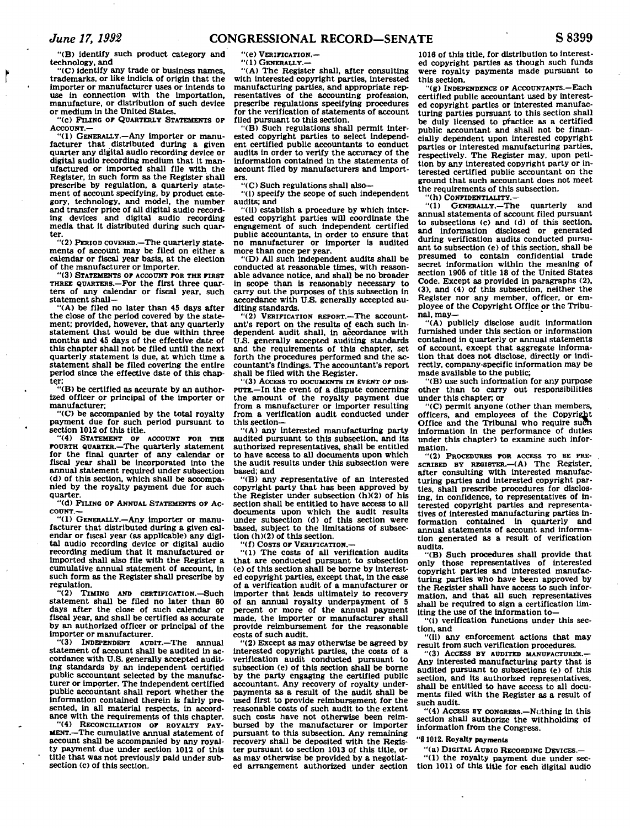"(B) identify such product category and technology, and

"(C) identify any trade or business names, trademarks, or like indicia of origin that the Importer or manufacturer uses or Intends to use in connection with the importation. manufacture, or distribution of such device or medium in the United States.

"(c) PILING or QUARTERLY STATEMENTS OP  $A$ CCOUNT. $-$ 

"(1) GENERALLY.—Any importer or manufacturer that distributed during a given quarter any digital audio recording device or digital audio recording medium that it manufactured or imported shall file with the Register, in such form as the Register shall prescribe by regulation, a quarterly statement of account specifying, by product category, technology, and model, the number and transfer price of all digital audio recording devices and digital audio recording media that it distributed during such quarter.

"(2) PERIOD COVERED.—The quarterly statements of account may be filed on either a calendar or fiscal year basis, at the election

of the manufacturer or importer. "(3) STATEMENTS OF ACCOUNT FOR THE FIRST THREE QUARTERS.—For the first three quarters of any calendar or fiscal year, such statement shall—

"(A) be filed no later than 45 days after the close of the period covered by the statement; provided, however, that any quarterly statement that would be due within three months and 45 days of the effective date of this chapter shall not be filed until the next quarterly statement is due, at which time a statement shall be filed covering the entire period since the effective date of this chapter;

"(B) be certified as accurate by an authorized officer or principal of the importer or manufacturer,

"(C) be accompanied by the total royalty payment due for such period pursuant to section 1012 of this title.

"(4) STATEMENT OF ACCOUNT FOR THE FOURTH QUARTER.—The quarterly statement for the final quarter of any calendar or fiscal year shall be incorporated into the annual statement required under subsection (d) of this section, which shall be accompanied by the royalty payment due for such quarter.

"(d) PILING OF ANNUAL STATEMENTS OF AC-COUNT.—

"(1) GENERALLY.—Any importer or manufacturer that distributed during a given calendar or fiscal year (as applicable) any digital audio recording device or digital audio recording medium that it manufactured or Imported shall also file with the Register a cumulative annual statement of account, in such form as the Register shall prescribe by regulation.

"(2) TIMING AND CERTIFICATION.—Such statement shall be filed no later than 60 days after the close of such calendar or fiscal year, and shall be certified as accurate by an authorized officer or principal of the Importer or manufacturer.

"(3) INDEPENDENT AUDIT.—The annual statement of account shall be audited in accordance with U.S. generally accepted auditing standards by an independent certified public accountant selected by the manufacturer or Importer. The independent certified public accountant shall report whether the information contained therein is fairly presented, in all material respects, in accordance with the requirements of this chapter.

"(4) RECONCILIATION OF ROYALTY PAY-MENT.—The cumulative annual statement of account shall be accompanied by any royalty payment due under section 1012 of this title that was not previously paid under subsection (c) of this section.

"(e) VERIFICATION.—

"(1) GENERALLY.—

"(A) The Register shall, after consulting with interested copyright parties, interested manufacturing parties, and appropriate representatives of the accounting profession, prescribe regulations specifying procedures for the verification of statements of account filed pursuant to this section.

"(B) Such regulations shall permit interested copyright parties to select independent certified public accountants to conduct audits in order to verify the accuracy of the information contained in the statements of account filed by manufacturers and importers.

"(C) Such regulations shall also—

"(i) specify the scope of such independent audits; and

"(ii) establish a procedure by which interested copyright parties will coordinate the engagement of such independent certified public accountants, in order to ensure that no manufacturer or importer is audited more than once per year.

"(D) All such independent audits shall be conducted at reasonable times, with reasonable advance notice, and shall be no broader in scope than is reasonably necessary to carry out the purposes of this subsection in accordance with U.S. generally accepted auditing standards.

"(2) VERIFICATION REPORT.—The accountant's report on the results of each such Independent audit shall, in accordance with U.S. generally accepted auditing standards and the requirements of this chapter, set forth the procedures performed and the accountant's findings. The accountant's report shall be filed with the Register.

"(3) ACCESS TO DOCUMENTS IN EVENT OF DIS-PUTE.—In the event of a dispute concerning the amount of the royalty payment due from a manufacturer or importer resulting from a verification audit conducted under this section—

"(A) any Interested manufacturing party audited pursuant to this subsection, and its authorized representatives, shall be entitled to have access to all documents upon which the audit results under this subsection were based; and

"(B) any representative of an Interested copyright party that has been approved by the Register under subsection (h)(2) of his section shall be entitled to have access to all documents upon which the audit results under subsection (d) of this section were based, subject to the limitations of subsection (h)(2) of this section.

"(f) COSTS OF VERIFICATION.—

"(1) The costs of all verification audits that are conducted pursuant to subsection (e) of this section shall be borne by interested copyright parties, except that, in the case of a verification audit of a manufacturer or importer that leads ultimately to recovery of an annual royalty underpayment of 5 percent or more of the annual payment made, the importer or manufacturer shall provide reimbursement for the reasonable costs of such audit.

"(2) Except as may otherwise be agreed by Interested copyright parties, the costs of a verification audit conducted pursuant to subsection (e) of this section shall be borne by the party engaging the certified public accountant. Any recovery of royalty underpayments as a result of the audit shall be used first to provide reimbursement for the reasonable costs of such audit to the extent such costs have not otherwise been reimbursed by the manufacturer or importer pursuant to this subsection. Any remaining recovery shall be deposited with the Regis-ter pursuant to section 1013 of this title, or as may otherwise be provided by a negotiated arrangement authorized under section

1016 of this title, for distribution to interested copyright parties as though such funds were royalty payments made pursuant to this section.

"(g) INDEPENDENCE OF ACCOUNTANTS.—Each certified public accountant used by interested copyright parties or interested manufacturing parties pursuant to this section shall be duly licensed to practice as a certified public accountant and shall not be financially dependent upon interested copyright parties or interested manufacturing parties, respectively. The Register may, upon petition by any interested copyright party or interested certified public accountant on the ground that such accountant does not meet the requirements of this subsection.

"(h) CONFIDENTIALITY.— GENERALLY.—The quarterly and annual statements of account filed pursuant to subsections (c> and (d) of this section, and information disclosed or generated during verification audits conducted pursuant to subsection (e) of this section, shall be presumed to contain confidential trade secret Information within the meaning of section 1905 of title 18 of the United States Code. Except as provided in paragraphs (2), (3), and (4) of this subsection, neither the Register nor any member, officer, or em-ployee of the Copyright Office or the Tribunal, may—

"(A) publicly disclose audit information furnished under this section or information contained in quarterly or annual statements of account, except that aggregate information that does not disclose, directly or indirectly, company-specific information may be made available to the public;

"(B) use such Information for any purpose other than to carry out responsibilities under this chapter; or

"(C) permit anyone (other than members, officers, and employees of the Copyright Office and the Tribunal who require such Information in the performance of duties under this chapter) to examine such information.

"(2) PROCEDURES FOR ACCESS TO BE PRE-SCRIBED BY REGISTER.—(A) The Register, after consulting with interested manufacturing parties and interested copyright parties, shall prescribe procedures for disclosing, in confidence, to representatives of interested copyright parties and representatives of interested manufacturing parties information contained in quarterly and annual statements of account and information generated as a result of verification audits.

"(B) Such procedures shall provide that only those representatives of interested copyright parties and interested manufacturing parties who have been approved by the Register shall have access to such information, and that all such representatives shall be required to sign a certification limiting the use of the information to—

"(i) verification functions under this section, and

"(ii) any enforcement actions that may result from such verification procedures.

"(3) ACCESS BY AUDITED MANUFACTURER.— Any interested manufacturing party that is audited pursuant to subsections (e) of this section, and its authorized representatives, shall be entitled to have access to all documents filed with the Register as a result of such audit.

"(4) ACCESS BY CONGRESS.—Nothing in this section shall authorize the withholding of Information from the Congress.

#### "8 1012. Royalty payments

"(a) DIGITAL AUDIO RECORDING DEVICES.— "(1) the royalty payment due under section 1011 of this title for each digital audio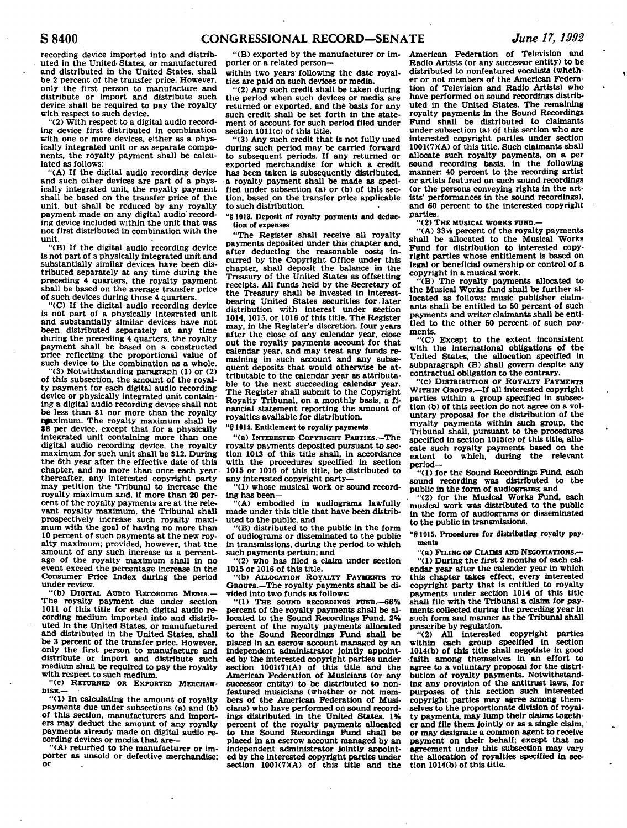ă

**recording device Imported into and distributed in the United States, or manufactured and distributed in the United States, shall be 2 percent of the transfer price; However, only the first person to manufacture and distribute or import and distribute such device shall be required to pay the royalty with respect to such device.** 

**"(2) With respect to a digital audio recording device first distributed in combination with one or more devices, either as a physically integrated unit or as separate components, the royalty payment shall be calculated as follows:** 

**"(A) If the digital audio recording device and such other devices are part of a physically integrated unit, the royalty payment shall be based on the transfer price of the unit, but shall be reduced by any royalty payment made on any digital audio' recording device included within the unit that was not first distributed in combination with the unit.** 

**"(B) If the digital audio recording device is not part of a physically integrated unit and substantially similar devices have been distributed separately at any time during the preceding 4 quarters, the royalty payment shall be based on the average transfer price of such devices during those 4 quarters.** 

**"(C) If the digital audio recording device is not part of a physically integrated unit and substantially similar devices have not been distributed separately at any time during the preceding 4 quarters, the royalty payment shall be based on a constructed price reflecting the proportional value of such device to the combination as a whole.** 

**"(3) Notwithstanding paragraph (1) or (2) of this subsection, the amount of the royalty payment for each digital audio recording device or physically integrated unit containing a digital audio recording device shall not be less than \$1 nor more than the royalty npiximum. The royalty maximum shall be \$8 per device, except that for a physically integrated unit containing more than one digital audio recording device, the royalty maximum for such unit shall be \$12. During the 6th year after the effective date of this chapter, and no more than once each year thereafter, any interested copyright party may petition the Tribunal to increase the royalty maximum and, if more than 20 percent of the royalty payments are at the relevant royalty maximum, the Tribunal shall prospectively increase such royalty maximum with the goal of having no more than 10 percent of such payments at the new royalty maximum; provided, however, that the amount of any such increase as a percentage of the royalty maximum shall in no event exceed the percentage increase In the Consumer Price Index during the period under review.** 

**"(b) DIGITAL AUDIO RECORDING MEDIA.— The royalty payment due under section 1011 of this title for each digital audio recording medium imported into and distributed in the United States, or manufactured and distributed in the United States, shall be 3 percent of the transfer price. However, only the first person to manufacture and distribute or import and distribute such medium shall be required to pay the royalty with respect to such medium.** 

**"(c) RETURNED OR EXPORTED MERCHAN-DISE.—** 

**"(1) In calculating the amount of royalty payments due under subsections (a) and (b) of this section, manufacturers and importers may deduct the amount of any royalty payments already made on digital audio recording devices or media that are—** 

"(A) returned to the manufacturer or im**porter as unsold or defective merchandise; or** 

 $\mathcal{L}$ 

**"(B) exported by the manufacturer or importer or a related person—** 

**within two years following the date royalties are paid on such devices or media.** 

**"(2) Any such credit shall be taken during the period when such devices or media are returned or exported, and the basis for any such credit shall be set forth in the statement of account for such period filed under section 1011(c) of this title.** 

**"(3) Any such credit that is not fully used during such period may be carried forward to subsequent periods. If any returned or exported merchandise for which a credit has been taken is subsequently distributed, •a royalty payment shall be made as specified under subsection (a) or (b) of this section, based on the transfer price applicable to such distribution.** 

**"§ 1013. Deposit of royalty payments and deduction of expenses** 

**"The Register shall receive all royalty payments deposited under this chapter and, after deducting the reasonable costs incurred by the Copyright Office under this chapter, shall deposit the balance in the Treasury of the United States as offsetting receipts. All funds held by the Secretary of the Treasury shall be invested in interestbearing United States securities for.later distribution with interest under section 1014,1015, or 1016 of this title. The Register may, in the Register's discretion, four years after the close of any calendar year, close out the royalty payments account for that calendar year, and may treat any funds remaining in such account and any subsequent deposits that would otherwise be attributable to the calendar year as attributable to the next succeeding calendar year. The Register shall submit to the Copyright Royalty Tribunal, on a monthly basis, a financial statement reporting the amount of royalties available for distribution.** 

**"9 1014. Entitlement to royalty payments** 

**"(a) INTERESTED COPYRIGHT PARTIES.—The royalty payments deposited pursuant to section 1013 of this title shall, in accordance with the procedures specified in section 1015 or 1016 of this title, be distributed to any interested copyright party—** 

**"(1) whose musical work or sound recording has been—** 

**"(A) embodied In audiograms lawfully made under this title that have been distributed to the public, and** 

**"(B) distributed to the public in the form of audiograms or disseminated to the public in transmissions, during the period to which such payments pertain; and** 

**"(2) who has filed a claim under section 1015 or 1016 of this title.** 

**"(b) ALLOCATION ROYALTY PAYMENTS TO GROUPS.—The royalty payments shall be divided into two funds as follows:** 

**"(1) THE SOUND RECORDINGS FUND.—66% percent of the royalty payments shall be allocated to the Sound Recordings Fund. 2% percent of the royalty payments allocated to the Sound Recordings Fund shall be placed in an escrow account managed by an independent administrator Jointly appointed by the Interested copyright parties under**  section 1001(7)(A) of this title and the **American Federation of Musicians (or any successor entity) to be distributed to nonfeatured musicians (whether or not members of the American Federation of Musicians) who have performed on sound recordings distributed In the United States. 1% percent of the royalty payments allocated to the Sound Recordings Fund shall be placed in an escrow account managed by an independent administrator jointly appointed by the interested copyright parties under**  section 1001(7)(A) of this title and the

**American Federation of Television and Radio Artists (or any successor entity) to be distributed to nonfeatured vocalists (whether or not members of the American Federation of Television and Radio Artists) who have performed on sound recordings distributed In the United States. The remaining royalty payments In the Sound Recordings Fund shall be distributed to claimants under subsection (a) of this section who are interested copyright parties under section 100K7KA) of this title. Such claimants shall allocate such royalty payments, on a per sound recording basis, in the following manner: 40 percent to the recording artist or artists featured on such sound recordings (or the persons conveying rights in the artists' performances In the sound recordings), and 60 percent to the interested copyright parties.** 

**"(2) THE MUSICAL WORKS FUND.—** 

**"(A) 33V4 percent of the royalty payments shall be allocated to the Musical Works Fund for distribution to Interested copyright parties whose entitlement is based on legal or beneficial ownership or control of a copyright in a musical work.** 

**"(B) The royalty payments allocated to the Musical Works fund shall be further allocated as follows: music publisher claimants shall be entitled to 50 percent of such payments and writer claimants shall be entitled to the other 50 percent of such payments.** 

**"(C) Except to the extent inconsistent with the international obligations of the United States, the allocation specified in subparagraph (B) shall govern despite any contractual obligation to the contrary.** 

**"(c) DISTRIBUTION OP ROYALTY PAYMENTS**  WITHIN GROUPS.—If all interested copyright **parties within a group specified In subsection (b) of this section do not agree on a voluntary proposal for the distribution of the royalty payments within such group, the Tribunal shall, pursuant to the procedures specified in section 1015(c) of this title, allocate such royalty payments based on the extent to which, during the relevant period—** 

**"(1) for the Sound Recordings Fund, each sound recording was distributed to the public in the form of audiograms: and** 

**"(2) for the Musical Works Fund, each musical work was distributed to the public in the form of audiograms or disseminated to the public in transmissions.** 

**"81015. Procedures for distributing royalty payments** 

**"(a) FILING OF CLAIMS AND NEGOTIATIONS.—** 

**"(1) During the first 2 months of each calendar year after the calender year in which this chapter takes effect, every Interested copyright party that is entitled to royalty payments under section 1014 of this title shall file with the Tribunal a claim for payments collected during the preceding year in such form and manner as the Tribunal shall prescribe by regulation.** 

**"(2) All interested copyright parties within each group specified in section 1014(b) of this title shall negotiate in good faith among themselves in an effort to agree to a voluntary proposal for the distribution of royalty payments. Notwithstanding any provision of the antitrust laws, for purposes of this section such interested copyright parties may agree among themselves'to the proportionate division of royalty payments, may lump their claims together and file them jointly or as a single claim, or may designate a common agent to receive payment on their behalf; except that no agreement under this subsection may vary the allocation of royalties specified in section 1014(b) of this title.**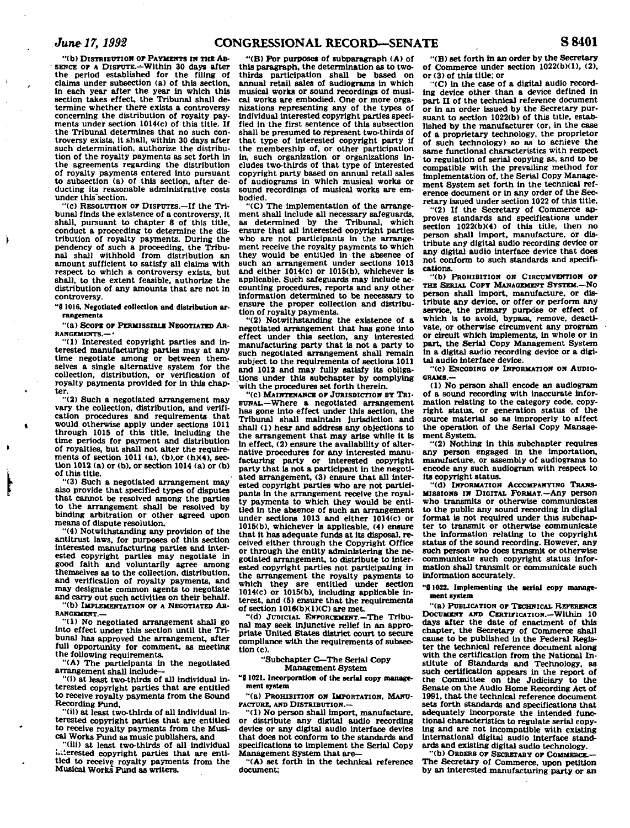*June 17,1992* **CONGRESSIONAL RECORD—SENATE S8401** 

**"(b) DISTRIBUTION or PAYMENTS n\* THE AB- - SENCE or A DISPUTE.—Within 30 days after the period established for the filing of claims under subsection (a) of this section, in each year after the year In which this section takes effect, the Tribunal shall determine whether there exists a controversy concerning the distribution of royalty payments under section 1014(c) of this title. If the Tribunal determines that no such controversy exists, it shall, within 30 days after such determination, authorize the distribution of the royalty payments as set forth In the agreements regarding the distribution of royalty payments entered into pursuant to subsection (a) of this section, after deducting its reasonable administrative costs under this'section.** 

**"(c) RESOLUTION or DISPUTES.—If the Tribunal finds the existence of a controversy, it shall, pursuant to chapter 8 of this title, conduct a proceeding to determine the distribution of royalty payments. During the pendency of such a proceeding, the Tribunal shall withhold from distribution an amount sufficient to satisfy all claims with respect to which a controversy exists, but shall, to the extent feasible, authorize the distribution of any amounts that are not in controversy.** 

**"8 1016. Negotiated collection and distribution arrangements** 

**"(a) Scope or PERMISSIBLE NEGOTIATED AR-RANGEMENTS.—\*** 

**"(1) Interested copyright parties and interested manufacturing parties may at any time negotiate among or between themselves a single alternative system for the collection, distribution, or verification of royalty payments provided for In this chapter.** 

**"(2) Such a negotiated arrangement may vary the collection, distribution, and verification procedures and requirements that would otherwise apply under sections 1011 through 1015 of this title, including the time periods for payment and distribution of royalties, but shall not alter the requirements of section 1011 (a), (b),or (h)(4), section 1012 (a) or (b), or section 1014 (a) or (b) of this title.** 

**"(3) Such a negotiated arrangement may also provide that specified types of disputes that cannot be resolved among the parties to the arrangement shall be resolved by binding arbitration or other agreed upon means of dispute resolution.** 

**"(4) Notwithstanding any provision of the antitrust laws, for purposes of this section interested manufacturing parties and interested copyright parties may negotiate in good faith and voluntarily agree among themselves as to the collection, distribution, and verification of royalty payments, and may designate common agents to negotiate and carry out such activities on their behalf. "(b) IMPLEMENTATION OF A NEGOTIATED AR-**

**RANGEMENT.—** 

**"(1) No negotiated arrangement shall go into effect under this section until the Tribunal has approved the arrangement, after full opportunity for comment, as meeting the following requirements.** 

**"(A) The participants in the negotiated arrangement shall include—** 

**"(i) at least two-thirds of all Individual interested copyright parties that are entitled to receive royalty payments from the Sound Recording Fund,** 

**"(ii) at least two-thirds of all Individual interested copyright parties that are entitled to receive royalty payments from the Musical Works Fund as music publishers, and** 

**"(ill) at least two-thirds of all individual Interested copyright parties that are entitled to receive royalty payments from the Musical Works Fund as writers.** 

**"'(B) For purposes of subparagraph (A) of this paragraph, the determination as to twothirds participation 6hall be based on annual retail sales of audiograms in which musical works or sound recordings of musical works are embodied. One or more organizations representing any of the types of individual Interested copyright parties specified in the first sentence of this subsection shall be presumed to represent two-thirds of that type of Interested copyright party if the membership of, or other participation in, such organization or organizations includes two-thirds of that type of interested copyright party based on annual retail sales of audiograms in which musical works or sound recordings of musical works are embodied.** 

**"(C) The implementation of the arrangement shall include all necessary safeguards, as determined by the Tribunal, which ensure that all interested copyright parties who are not participants in the arrangement receive the royalty payments to which they would be entitled In the absence of such an arrangement under sections 1013 and either 1014(c) or 1016(b), whichever is applicable. Such safeguards may include accounting procedures, reports and any other information determined to be necessary to ensure the proper collection and distribution of royalty payments.** 

**"(2) Notwithstanding the existence of a negotiated arrangement that has gone Into effect under this section, any interested manufacturing party that is not a party to such negotiated arrangement shall remain subject to the requirements of sections 1011 and 1012 and may fully satisfy its obligations under this subchapter by complying with the procedures set forth therein.** 

**"(c) MAINTENANCE OP JURISDICTION BY TRI-BUNAL.—Where a negotiated arrangement has gone into effect under this section, the Tribunal shall maintain Jurisdiction and shall (1) hear and address any objections to the arrangement that may arise while it is In effect, (2) ensure the availability of alternative procedures for any interested manufacturing party or interested copyright party that is not a participant in the negotiated arrangement, (3) ensure that all interested copyright parties who are not participants In the arrangement receive the royalty payments to which they would be entitled In the absence of such an arrangement under sections 1013 and either 1014(c) or 1015(b), whichever is applicable, (4) ensure that it has adequate funds at Its disposal, received either through the Copyright Office or through the entity administering the negotiated arrangement, to distribute to interested copyright parties not participating in the arrangement the royalty payments to which they are entitled under section 1014(c) or 1015(b), including applicable interest, and (5) ensure that the requirements of section 1016(bXl)(C) are met.** 

**"(d) JUDICIAL ENFORCEMENT.—The Tribunal may seek injunctive relief in an appropriate United States district court to secure compliance with the requirements of subsection (c).** 

## **"Subchapter C—The Serial Copy Management 8ystem**

**"0 1021. Incorporation of the serial copy management system** 

**"(a) PROHIBITION ON IMPORTATION, MANU-FACTURE, AND DISTRIBUTION.—** 

**"(1) No person shall import, manufacture, or distribute any digital audio recording device or any digital audio interface device that does not conform to the standards and specifications to implement the Serial Copy Management System that are—** 

**"(A) set forth In the technical reference document;** 

**'•(B) set forth in an order by the Secretary of Commerce under section 1022(0X1), (2). or (3) of this title; or** 

**"(C) in the case of a digital audio recording device other than a device defined in part II of the technical reference document or In an order issued by the Secretary pursuant to section 1022(b) of this title, established by the manufacturer (or, in the case of a proprietary technology, the proprietor of such technology) so as to achieve the same functional characteristics with respect to regulation of serial copying as, and to be compatible with the prevailing method for implementation of, the Serial Copy Management System set forth in the technical reference document or in any order of the Secretary issued under section 1022 of this title.** 

**"(2) If the Secretary of Commerce approves standards and specifications under section 1022(b)(4) of this title, then no person shall import, manufacture, or distribute any digital audio recording device or any digital audio interface device that does not conform to such standards and specifications.** 

**"(b) PROHIBITION ON CIRCUMVENTION OP THE SERIAL COPY MANAGEMENT SYSTEM.—NO person shall Import, manufacture, or distribute any device, or offer or perform any service, the primary purpose or effect of which is to avoid, bypass, remove, deactivate, or otherwise circumvent any program or circuit which implements, in whole or in part, the Serial Copy Management System In a digital audio recording device or a digital audio Interface device.** 

**"(c) ENCODING OP INFORMATION ON AUDIO-GRAMS.—** 

**(1) NO person shall encode an audiogram of a sound recording with Inaccurate information relating to the category code, copyright status, or generation status of the source material so as improperly to affect the operation of the Serial Copy Management System.** 

**"(2) Nothing in this subchapter requires any person engaged in the importation, manufacture, or assembly of audiograms to encode any such audiogram with respect to its copyright status.** 

**"(d) INFORMATION ACCOMPANYING TRANS-MISSIONS IN DIGITAL FORMAT.—Any person who transmits or otherwise communicates to the public any sound recording in digital**  format is not required under this subchap**ter to transmit or otherwise communicate the information relating to the copyright status of the sound recording. However, any such person who does transmit or otherwise communicate such copyright status information shall transmit or communicate such information accurately.** 

**"S 1022. Implementing the aerial copy management system** 

**"(a) PUBLICATION OF TECHNICAL REFERENCE DOCUMENT AND CERTIFICATION.—Within 10 days after the date of enactment of this chapter, the Secretary of Commerce shall cause to be published in the Federal Register the technical reference document along with the certification from the National Institute of Standards and Technology, as**  such certification appears in the report of **the Committee on the Judiciary to the Senate on the Audio Home Recording Act of 1991, that the technical reference document sets forth standards and specifications that adequately Incorporate the intended functional characteristics to regulate serial copying and are not incompatible with existing international digital audio interface standards and existing digital audio technology.** 

**"(b) ORDERS OF SECRETARY OF COMMERCE.— The Secretary of Commerce, upon petition by an interested manufacturing party or an**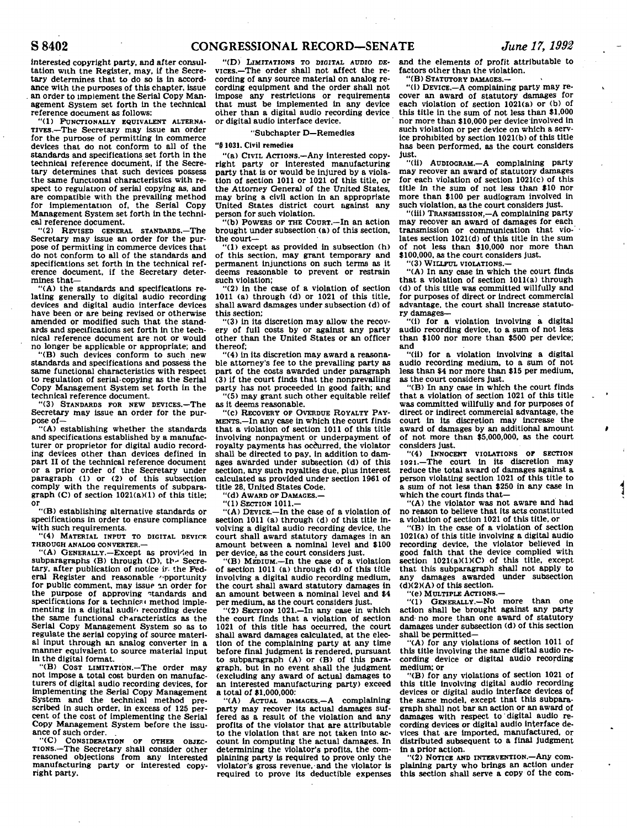interested copyright party, and after consultation with the Register, may, if the Secretary determines that to do so is in accordance with the purposes of this chapter, issue . an order to implement the Serial Copy Management System set forth in the technical reference document as follows:

"(1) FUNCTIONALLY EQUIVALENT ALTERNA-TIVES.—The Secretary may issue an order for the purpose of permitting in commerce devices that do not conform to all of the standards and specifications set forth in the technical reference document, if the Secretary determines that such devices possess the same functional characteristics with respect to regulation of serial copying as, and are compatible with the prevailing method are compatible with the prevalling method<br>for implementation of, the Serial Copy<br>Management System set forth in the technical reference document.

"(2) REVISED GENERAL STANDARDS.—The Secretary may issue an order for the purpose of permitting in commerce devices that do not conform to all of the standards and specifications set forth in the technical reference document, if the Secretary determines that—

"(A) the standards and specifications relating generally to digital audio recording devices and digital audio interface devices have been or are being revised or otherwise amended or modified such that the standards and specifications set forth in the technical reference document are not or would no longer be applicable or appropriate; and

"(B) such devices conform to such new standards and specifications and possess the same functional characteristics with respect to regulation of serial copying as the Serial Copy Management System set forth in the technical reference document.

"(3) STANDARDS FOR NEW DEVICES.—The Secretary may issue an order for the purpose of—

"(A) establishing whether the standards and specifications established by a manufacturer or proprietor for digital audio recording devices other than devices defined in part II of the technical reference document or a prior order of the Secretary under paragraph (1) or (2) of this subsection comply with the requirements of subparagraph (C) of section 1021(a)(1) of this title; or

"(B) establishing alternative standards or specifications in order to ensure compliance with such requirements.

"(4) MATERIAL INPUT TO DIGITAL DEVICE THROUGH ANALOG CONVERTER.—

"(A) GENERALLY.—Except as provided in subparagraphs  $(B)$  through  $(D)$ , the Secretary, after publication of notice ir. the Federal Register and reasonable "pportunity for public comment, may issue an order for the purpose of approving standards and specifications for a technical method implementing in a digital audio recording device the same functional characteristics as the Serial Copy Management System so as to regulate the serial copying of source material input through an analog converter in a manner equivalent to source material input in the digital format.

"(B) COST LIMITATION.—The order may not impose a total cost burden on manufacturers of digital audio recording devices, for implementing the Serial Copy Management System and the technical method prescribed in such order, in excess of 125 percent of the cost of implementing the Serial Copy Management System before the issuance of such order.

"(C) CONSIDERATION OF OTHER OBJEC-TIONS.—The Secretary shall consider other reasoned objections from any Interested manufacturing party or interested copyright party.

"(D) LIMITATIONS TO DIGITAL AUDIO DE-VICES.—The order shall not affect the recording of any source material on analog recording equipment and the order shall not Impose any restrictions or requirements that must be implemented in any device other than a digital audio recording device or digital audio interface device.

## "Subchapter D—Remedies

## "§ 1031. Civil remedies

"(a) CIVIL ACTIONS.—Any interested copyright party or interested manufacturing party that is or would be injured by a violation of section 1011 or 1021 of this title, or the Attorney General of the United States, may bring a civil action in an appropriate United States district court against any person for such violation.

"(b) POWERS OF THE COURT.—In an action brought under subsection (a) of this section, the court—

"(1) except as provided in subsection (h) of this section, may grant temporary and permanent Injunctions on such terms as it deems reasonable to prevent or restrain such violation;

 $(2)$  in the case of a violation of section 1011 (a) through (d) or 1021 of this title, shall award damages under subsection (d) of this section;

"(3) in its discretion may allow the recovery of full costs by or against any party other than the United States or an officer thereof;

"(4) in its discretion may award a reasonable attorney's fee to the prevailing party as part of the costs awarded under paragraph (3) if the court finds that the nonprevailing party has not proceeded in good faith; and "(5) may grant such other equitable relief

as it deems reasonable.

"(c) RECOVERY OF OVERDUE ROYALTY PAY-MENTS.—In any case in which the court finds that a violation of section 1011 of this title involving nonpayment or underpayment of royalty payments has occurred, the violator shall be directed to pay, in addition to dam-ages awarded under subsection (d) of this section, any such royalties due, plus interest calculated as provided under section 1961 of title 28, United States Code.

"(d) AWARD OF DAMAGES.—

"(1) SECTION 1011.-

"(A) DEVICE.—In the case of a violation of section 1011 (a) through (d) of this title involving a digital audio recording device, the court shall award statutory damages in an amount between a nominal level and \$100 per device, as the court considers just.

"(B) MEDIUM.—In the case of a violation of section 1011 (a) through (d) of this title involving a digital audio recording medium, the court shall award statutory damages in an amount between a nominal level and \$4 per medium, as the court considers just.

"(2) SECTION 1021.—In any case in which the court finds that a violation of section 1021 of this title has occurred, the court shall award damages calculated, at the election of the complaining party at any time before final judgment is rendered, pursuant to subparagraph (A) or (B) of this paragraph, but in no event shall the Judgment (excluding any award of actual damages to an interested manufacturing party) exceed a total of \$1,000,000:

"(A) ACTUAL DAMAGES.—A complaining party may recover its actual damages suffered as a result of the violation and any profits of the violator that are attributable to the violation that are not taken Into account In computing the actual damages. In determining the violator's profits, the complaining party is required to prove only the violator's gross revenue, and the violator is required to prove Its deductible expenses

and the elements of profit attributable to factors other than the violation.

"(B) STATUTORY DAMAGES.—

"(i) DEVICE.—A complaining party may recover an award of statutory damages for each violation of section 1021(a) or (b) of this title in the sum of not less than \$1,000 nor more than \$10,000 per device involved in such violation or per device on which a service prohibited by section 1021(b) of this title has been performed, as the court considers just.

"(ii) AUDIOGRAM.—A complaining party may recover an award of statutory damages for each violation of section 1021(c) of this title in the sum of not less than \$10 nor more than \$100 per audiogram involved in such violation, as the court considers just.

"(iii) TRANSMISSION,—A complaining party may recover an award of damages for each transmission or communication that violates section 1021(d) of this title in the sum of not less than \$10,000 nor more than \$100,000, as the court considers just.

"(3) WILLFUL VIOLATIONS.—

"(A) In any case in which the court finds that a violation of section 1011(a) through (d) of this title was committed willfully and for purposes of direct or indrect commercial advantage, the court shall increase statutory damages—

"(1) for a violation involving a digital audio recording device, to a sum of not less than \$100 nor more than \$500 per device; and

"(ii) for a violation Involving a digital audio recording medium, to a sum of not less than \$4 nor more than \$15 per medium, as the court considers just.

"(B) In any case in which the court finds that a violation of section 1021 of this title was committed willfully and for purposes of direct or indirect commercial advantage, the court in its discretion may increase the award of damages by an additional amount of not more than \$5,000,000, as the court considers just.

"(4) INNOCENT VIOLATIONS OF SECTION 1021.—The court in its discretion may reduce the total award of damages against a person violating section 1021 of this title to a sum of not less than \$250 in any case in which the court finds that—

"(A) the violator was not aware and had no reason to believe that its acts constituted a violation of section 1021 of this title, or

"(B) in the case of a violation of section 1021(a) of this title involving a digital audio recording device, the violator believed in good faith that the device complied with section 1021(a)(1)(C) of this title, except that this subparagraph shall not apply to any damages awarded under subsection (d)(2)(A) of this section.

"(e) MULTIPLE ACTIONS.—

"(1) GENERALLY.—No more than one action shall be brought against any party and- no more than one award of statutory damages under subsection (d) of this section shall be permitted—

"(A) for any violations of section 1011 of this title Involving the same digital audio recording device or digital audio recording medium; or

"(B) for any violations of section 1021 of this title involving digital audio recording devices or digital audio interface devices of the same model, except that this subparagraph shall not bar an action or an award of damages with respect to digital audio recording devices or digital audio interface devices that are imported, manufactured, or distributed subsequent to a final Judgment in a prior action.

"(2) NOTICE AND INTERVENTION.—Any complaining party who brings an action under this section shall serve a copy of the com-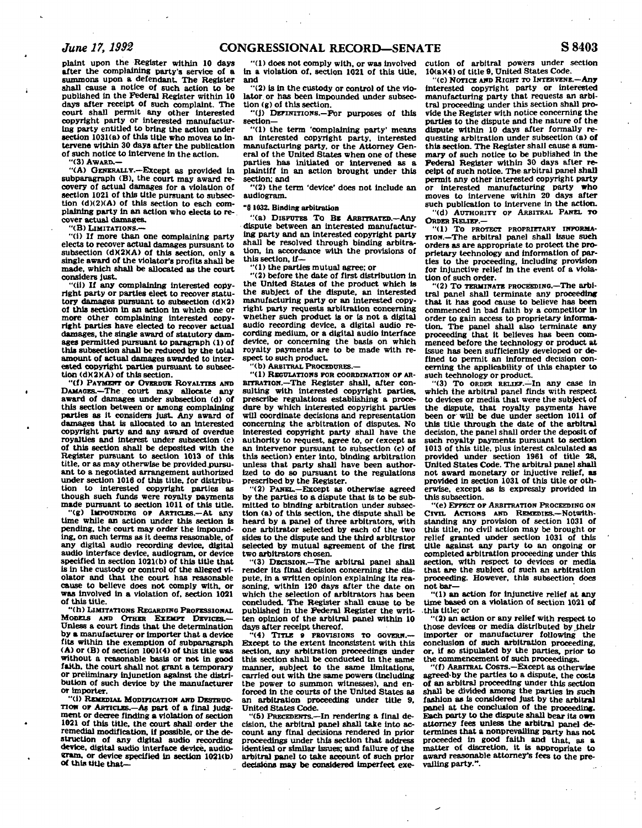**plaint upon the Register within 10 days after the complaining party's service of a summons upon a defendant. The Register shall cause a notice of such action to be published In the Federal Register within 10 days after receipt of such complaint. The court shall permit any other interested copyright party or interested manufacturing party entitled to bring the action under section 1031(a) of this title who moves to intervene within 30 days after the publication of such notice to intervene in the action.** 

**"(3) AWARD.—** 

**"(A) GENERALLY.—Except as provided in subparagraph (B), the court may award recovery of actual damages for a violation of section 1021 of this title pursuant to subsection (d)(2)(A) of this section to each complaining party in an action who elects to recover actual damages.** 

**"(B) LIMITATIONS.—** 

**"(i) If more than one complaining party elects to recover actual damages pursuant to subsection (dX2MA> of this section, only a single award of the violator's profits shall be made, which shall be allocated as the court considers just.** 

**"(ii) If any complaining interested copyright party or parties elect to recover statutory damages pursuant to subsection (d)(2) of this section In an action in which one or more other complaining interested copyright parties have elected to recover actual damages, the single award of statutory damages permitted pursuant to paragraph (1) of this subsection shall be reduced by the total amount of actual damages awarded to Interested copyright parties pursuant to subsection (dM2MA) of this section.** 

**"(f) PAYMENT OP OVERDUE ROYALTIES AND DAMAGES.—The. court may allocate any award of damages under subsection (d) of this section between or among complaining parties as it considers just. Any award of damages that is allocated to an interested copyright party and any award of overdue royalties and interest under subsection (c) of this section shall be deposited with the Register pursuant to section 1013 of this title, or as may otherwise be provided .pursuant to a negotiated arrangement authorized under section 1016 of this title, for distribution to interested copyright parties as though such funds were royalty payments made pursuant to section 1011 of this title.** 

**"(g) IMPOUNDING OP ARTICLES.—At any time while an action under this section is pending, the court may order the impounding, on such terms as it deems reasonable, of any digital audio recording device, digital audio interface device, audiogram, or device specified in section 1021(b) of this title that is in the custody or control of the alleged violator and that the court has reasonable cause to believe does not comply with, or was involved in a violation of, section 1021 of this title.** 

**"(h) LIMITATIONS REGARDING PROFESSIONAL MODELS AND OTHER EXEMPT DEVICES.— Unless a court finds that the determination by a manufacturer or importer that a device fits within the exemption of subparagraph (A) or (B) of section 1001(4) of this title was without a reasonable basis or not in good faith, the court shall not grant a temporary or preliminary injunction against the distribution of such device by the manufacturer or importer.** 

**"(1) REMEDIAL MODIFICATION AND DESTRUC-TION OP ARTICLES As part of a final judg-ment or decree finding a violation of section 1021 of this title, the court shall order the remedial modification. If possible, or the destruction of any digital audio recording device, digital audio interface device, audiogram, or device specified in section 1021(b) of this title that-**

**'ll) does not comply with, or was involved in a violation of, section 1021 of this title, and** 

**"(2) is in the custody or control of the vio**lator or has been impounded under subsec**tion (g) of this section.** 

**"(j) DEFINITIONS.—For purposes of this section—** 

**"(1) the term 'complaining party' means an interested copyright party. Interested manufacturing party, or the Attorney General of the United States when one of these parties has initiated or intervened as a plaintiff in an action brought under this section; and** 

**"(2) the term 'device\* does not include an audiogram.** 

### **"8 1032. Binding arbitration**

**"(a) DISPUTES To BE ARBITRATED.—Any dispute between an interested manufacturing party and an interested copyright party shall be resolved through binding arbitration, in accordance with the provisions of this section, if—** 

**"(1) the parties mutual agree; or** 

**"(2) before the date of first distribution in the United States of the product which is the subject of the dispute, an interested manufacturing party or an interested copyright party requests arbitration concerning whether such product is or Is not a digital audio recording device, a digital audio recording medium, or a digital audio interface device, or concerning the basis on which royalty payments are to be made with respect to such product.** 

**"(b) ARBITRAL PROCEDURES.—** 

**"(1) REGULATIONS FOR COORDINATION OF AR-BITRATION.—The Register shall, after consulting with interested copyright parties, prescribe regulations establishing a procedure by which interested copyright parties will coordinate decisions and representation concerning the arbitration of disputes. No interested copyright party shall have the authority to request, agree to, or (except as an intervenor pursuant to subsection (c) of this section) enter into, binding arbitration unless that party shall have been authorized to do so pursuant to the regulations prescribed by the Register.** 

**"(2) PANEL.—Except as otherwise agreed by the parties to a dispute that is to be submitted to binding arbitration under subsection (a) of this section, the dispute shall be heard by a panel of three arbitrators, with one arbitrator selected by each of the two sides to the dispute and the third arbitrator selected by mutual agreement of the first two arbitrators chosen.** 

**"(3) DECISION.—The arbitral panel shall render its final decision concerning the dispute, in a written opinion explaining its reasoning, within 120 days after the date on which the selection of arbitrators has been concluded. The Register shall cause to be published in the Federal Register the written opinion of the arbitral panel within 10 days after receipt thereof.** 

**"(4) TITLE 9 PROVISIONS TO GOVERN.— Except to the extent inconsistent with this section, any arbitration proceedings Under this section shall be conducted in the same manner, subject to the same limitations, carried out with the same powers (including the power to summon witnesses), and enforced in the courts of the United States as an arbitration proceeding under title 9, United States Code.** 

**"(5) PRECEDENTS.—In rendering a final decision, the arbitral panel shall take into account any final decisions rendered in prior proceedings under this section that address identical or similar issues; and failure of the arbitra] panel to take account of such prior decisions may be considered imperfect exe-** **cution of arbitral powers under section 10(a)(4) of title 9, United States Code.** 

**"(c) NOTICE AND RIGHT TO INTERVENE.—Any interested copyright party or interested manufacturing party that requests an arbitral proceeding under this section shall provide the Register with notice concerning the parties to the dispute and the nature of the dispute within 10 days after formally requesting arbitration under subsection (a) of this section. The Register shall cause a summary of such notice to be published In the Federal Register within 30 days after receipt of such notice. The arbitral panel shall permit any other interested copyright party or interested manufacturing party who moves to intervene within 20 days after**<br>moves to intervene within 20 days after<br>
such publication to intervene in the action. **"(d) AUTHORITY OP ARBITRAL PANEL TO ORDER RELTEP.—** 

**"(1) To PROTECT PROPRIETARY INFORMA-TION.—The arbitral panel shall issue such orders as are appropriate to protect the proprietary technology and Information of parties to the proceeding, including provision for injunctive relief in the event of a violation of such order.** 

**"(2) To TERMINATE PROCEEDING.—The arbitral panel shall terminate any proceeding that it has good cause to believe has been commenced In bad faith by a competitor in order to gain access to proprietary information. The panel shall also terminate any proceeding that it believes has been commenced before the technology or product at issue has been sufficiently developed or defined to permit an informed decision concerning the applicability of this chapter to such technology or product.** 

**"(3) To ORDER RELIEF.—In any case in which the arbitral panel finds with respect to devices or media that were the subject of the dispute, that royalty payments have been or will be due under section 1011 of this title through the date of the arbitral decision, the panel shall order the deposit of such royalty payments pursuant to section 1013 of this title, plus Interest calculated as provided under section 1961 of title 28, United States Code. The arbitral panel shall not award monetary or injuctive relief, as provided in section 1031 of this title or otherwise, except as Is expressly provided in this subsection.** 

**"(e) EFFECT OF ARBITRATION PROCEEDING ON CIVIL ACTIONS AND REMEDIES.—Notwithstanding any provision of section 1031 of this title, no civil action may be brought or relief granted under section 1031 of this title against any party to an ongoing or completed arbitration proceeding under this section, with respect to devices or media that are the subject of such an arbitration proceeding. However, this subsection does not bar—** 

**"(1) an action for Injunctive relief at any time based on a violation of section 1021 of .this title; or** 

**"(2) an action or any relief with respect to those devices or media distributed by their Importer or manufacturer following the conclusion of such arbitration proceeding, or, if so stipulated by the parties, prior to the commencement of such proceedings.** 

**"(f) ARBITRAL COSTS.—Except as otherwise agreed-by the parties to a dispute, the costs of an arbitra] proceeding under this section shall be divided among the parties in such fashion as is considered Just by the arbitral panel at the conclusion of the proceeding. Each party to the dispute shall bear its own**  attorney fees unless the arbitral panel de**termines that a nonprevailing party has not proceeded in good faith and that, as a matter of discretion, it is appropriate to award reasonable attorney's fees to the prevailing party.".**